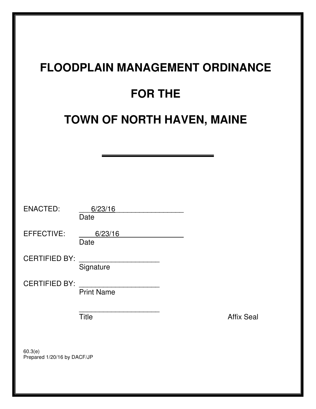# **FLOODPLAIN MANAGEMENT ORDINANCE**

# **FOR THE**

# **TOWN OF NORTH HAVEN, MAINE**

| <b>ENACTED:</b>                        | 6/23/16<br>Date   |  |                   |
|----------------------------------------|-------------------|--|-------------------|
| EFFECTIVE:                             | 6/23/16<br>Date   |  |                   |
| <b>CERTIFIED BY:</b>                   | Signature         |  |                   |
| <b>CERTIFIED BY:</b>                   | <b>Print Name</b> |  |                   |
|                                        | <b>Title</b>      |  | <b>Affix Seal</b> |
| 60.3(e)<br>Prepared 1/20/16 by DACF/JP |                   |  |                   |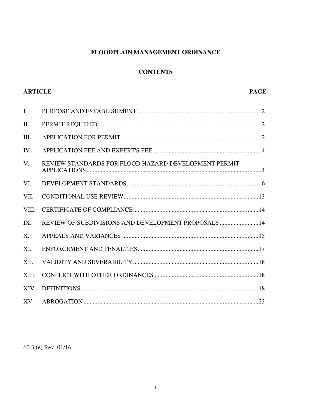# FLOODPLAIN MANAGEMENT ORDINANCE

#### **CONTENTS**

| <b>ARTICLE</b> |                                                      | <b>PAGE</b> |
|----------------|------------------------------------------------------|-------------|
| $\mathbf{I}$ . |                                                      |             |
| II.            |                                                      |             |
| Ш.             |                                                      |             |
| IV.            |                                                      |             |
| $V_{\cdot}$    | REVIEW STANDARDS FOR FLOOD HAZARD DEVELOPMENT PERMIT |             |
| VI.            |                                                      |             |
| VII.           |                                                      |             |
| VIII.          |                                                      |             |
| IX.            | REVIEW OF SUBDIVISIONS AND DEVELOPMENT PROPOSALS14   |             |
| $X_{\cdot}$    |                                                      |             |
| XI.            |                                                      |             |
| XII.           |                                                      |             |
| XIII.          |                                                      |             |
| XIV.           |                                                      |             |
| XV.            |                                                      |             |

# 60.3 (e) Rev. 01/16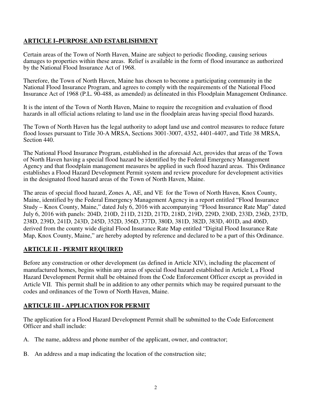# **ARTICLE I–PURPOSE AND ESTABLISHMENT**

Certain areas of the Town of North Haven, Maine are subject to periodic flooding, causing serious damages to properties within these areas. Relief is available in the form of flood insurance as authorized by the National Flood Insurance Act of 1968.

Therefore, the Town of North Haven, Maine has chosen to become a participating community in the National Flood Insurance Program, and agrees to comply with the requirements of the National Flood Insurance Act of 1968 (P.L. 90-488, as amended) as delineated in this Floodplain Management Ordinance.

It is the intent of the Town of North Haven, Maine to require the recognition and evaluation of flood hazards in all official actions relating to land use in the floodplain areas having special flood hazards.

The Town of North Haven has the legal authority to adopt land use and control measures to reduce future flood losses pursuant to Title 30-A MRSA, Sections 3001-3007, 4352, 4401-4407, and Title 38 MRSA, Section 440.

The National Flood Insurance Program, established in the aforesaid Act, provides that areas of the Town of North Haven having a special flood hazard be identified by the Federal Emergency Management Agency and that floodplain management measures be applied in such flood hazard areas. This Ordinance establishes a Flood Hazard Development Permit system and review procedure for development activities in the designated flood hazard areas of the Town of North Haven, Maine.

The areas of special flood hazard, Zones A, AE, and VE for the Town of North Haven, Knox County, Maine, identified by the Federal Emergency Management Agency in a report entitled "Flood Insurance Study – Knox County, Maine," dated July 6, 2016 with accompanying "Flood Insurance Rate Map" dated July 6, 2016 with panels: 204D, 210D, 211D, 212D, 217D, 218D, 219D, 229D, 230D, 233D, 236D, 237D, 238D, 239D, 241D, 243D, 245D, 352D, 356D, 377D, 380D, 381D, 382D, 383D, 401D, and 406D, derived from the county wide digital Flood Insurance Rate Map entitled "Digital Flood Insurance Rate Map, Knox County, Maine," are hereby adopted by reference and declared to be a part of this Ordinance.

#### **ARTICLE II - PERMIT REQUIRED**

Before any construction or other development (as defined in Article XIV), including the placement of manufactured homes, begins within any areas of special flood hazard established in Article I, a Flood Hazard Development Permit shall be obtained from the Code Enforcement Officer except as provided in Article VII. This permit shall be in addition to any other permits which may be required pursuant to the codes and ordinances of the Town of North Haven, Maine.

#### **ARTICLE III - APPLICATION FOR PERMIT**

The application for a Flood Hazard Development Permit shall be submitted to the Code Enforcement Officer and shall include:

- A. The name, address and phone number of the applicant, owner, and contractor;
- B. An address and a map indicating the location of the construction site;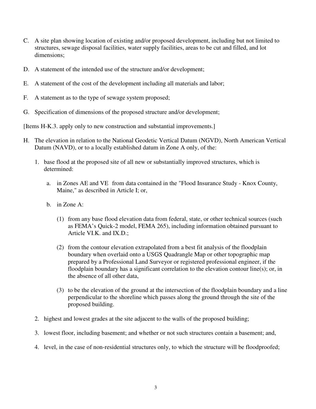- C. A site plan showing location of existing and/or proposed development, including but not limited to structures, sewage disposal facilities, water supply facilities, areas to be cut and filled, and lot dimensions;
- D. A statement of the intended use of the structure and/or development;
- E. A statement of the cost of the development including all materials and labor;
- F. A statement as to the type of sewage system proposed;
- G. Specification of dimensions of the proposed structure and/or development;

[Items H-K.3. apply only to new construction and substantial improvements.]

- H. The elevation in relation to the National Geodetic Vertical Datum (NGVD), North American Vertical Datum (NAVD), or to a locally established datum in Zone A only, of the:
	- 1. base flood at the proposed site of all new or substantially improved structures, which is determined:
		- a. in Zones AE and VE from data contained in the "Flood Insurance Study Knox County, Maine," as described in Article I; or,
		- b. in Zone A:
			- (1) from any base flood elevation data from federal, state, or other technical sources (such as FEMA's Quick-2 model, FEMA 265), including information obtained pursuant to Article VI.K. and IX.D.;
			- (2) from the contour elevation extrapolated from a best fit analysis of the floodplain boundary when overlaid onto a USGS Quadrangle Map or other topographic map prepared by a Professional Land Surveyor or registered professional engineer, if the floodplain boundary has a significant correlation to the elevation contour line(s); or, in the absence of all other data,
			- (3) to be the elevation of the ground at the intersection of the floodplain boundary and a line perpendicular to the shoreline which passes along the ground through the site of the proposed building.
	- 2. highest and lowest grades at the site adjacent to the walls of the proposed building;
	- 3. lowest floor, including basement; and whether or not such structures contain a basement; and,
	- 4. level, in the case of non-residential structures only, to which the structure will be floodproofed;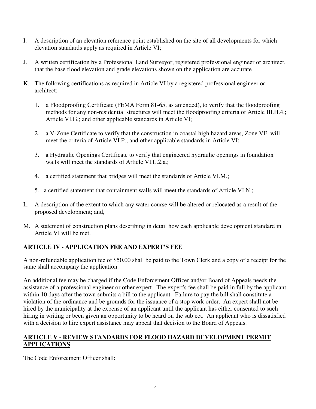- I. A description of an elevation reference point established on the site of all developments for which elevation standards apply as required in Article VI;
- J. A written certification by a Professional Land Surveyor, registered professional engineer or architect, that the base flood elevation and grade elevations shown on the application are accurate
- K. The following certifications as required in Article VI by a registered professional engineer or architect:
	- 1. a Floodproofing Certificate (FEMA Form 81-65, as amended), to verify that the floodproofing methods for any non-residential structures will meet the floodproofing criteria of Article III.H.4.; Article VI.G.; and other applicable standards in Article VI;
	- 2. a V-Zone Certificate to verify that the construction in coastal high hazard areas, Zone VE, will meet the criteria of Article VI.P.; and other applicable standards in Article VI;
	- 3. a Hydraulic Openings Certificate to verify that engineered hydraulic openings in foundation walls will meet the standards of Article VI.L.2.a.;
	- 4. a certified statement that bridges will meet the standards of Article VI.M.;
	- 5. a certified statement that containment walls will meet the standards of Article VI.N.;
- L. A description of the extent to which any water course will be altered or relocated as a result of the proposed development; and,
- M. A statement of construction plans describing in detail how each applicable development standard in Article VI will be met.

# **ARTICLE IV - APPLICATION FEE AND EXPERT'S FEE**

A non-refundable application fee of \$50.00 shall be paid to the Town Clerk and a copy of a receipt for the same shall accompany the application.

An additional fee may be charged if the Code Enforcement Officer and/or Board of Appeals needs the assistance of a professional engineer or other expert. The expert's fee shall be paid in full by the applicant within 10 days after the town submits a bill to the applicant. Failure to pay the bill shall constitute a violation of the ordinance and be grounds for the issuance of a stop work order. An expert shall not be hired by the municipality at the expense of an applicant until the applicant has either consented to such hiring in writing or been given an opportunity to be heard on the subject. An applicant who is dissatisfied with a decision to hire expert assistance may appeal that decision to the Board of Appeals.

# **ARTICLE V - REVIEW STANDARDS FOR FLOOD HAZARD DEVELOPMENT PERMIT APPLICATIONS**

The Code Enforcement Officer shall: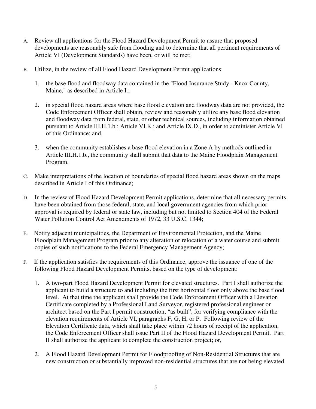- A. Review all applications for the Flood Hazard Development Permit to assure that proposed developments are reasonably safe from flooding and to determine that all pertinent requirements of Article VI (Development Standards) have been, or will be met;
- B. Utilize, in the review of all Flood Hazard Development Permit applications:
	- 1. the base flood and floodway data contained in the "Flood Insurance Study Knox County, Maine," as described in Article I.;
	- 2. in special flood hazard areas where base flood elevation and floodway data are not provided, the Code Enforcement Officer shall obtain, review and reasonably utilize any base flood elevation and floodway data from federal, state, or other technical sources, including information obtained pursuant to Article III.H.1.b.; Article VI.K.; and Article IX.D., in order to administer Article VI of this Ordinance; and,
	- 3. when the community establishes a base flood elevation in a Zone A by methods outlined in Article III.H.1.b., the community shall submit that data to the Maine Floodplain Management Program.
- C. Make interpretations of the location of boundaries of special flood hazard areas shown on the maps described in Article I of this Ordinance;
- D. In the review of Flood Hazard Development Permit applications, determine that all necessary permits have been obtained from those federal, state, and local government agencies from which prior approval is required by federal or state law, including but not limited to Section 404 of the Federal Water Pollution Control Act Amendments of 1972, 33 U.S.C. 1344;
- E. Notify adjacent municipalities, the Department of Environmental Protection, and the Maine Floodplain Management Program prior to any alteration or relocation of a water course and submit copies of such notifications to the Federal Emergency Management Agency;
- F. If the application satisfies the requirements of this Ordinance, approve the issuance of one of the following Flood Hazard Development Permits, based on the type of development:
	- 1. A two-part Flood Hazard Development Permit for elevated structures. Part I shall authorize the applicant to build a structure to and including the first horizontal floor only above the base flood level. At that time the applicant shall provide the Code Enforcement Officer with a Elevation Certificate completed by a Professional Land Surveyor, registered professional engineer or architect based on the Part I permit construction, "as built", for verifying compliance with the elevation requirements of Article VI, paragraphs F, G, H, or P. Following review of the Elevation Certificate data, which shall take place within 72 hours of receipt of the application, the Code Enforcement Officer shall issue Part II of the Flood Hazard Development Permit. Part II shall authorize the applicant to complete the construction project; or,
	- 2. A Flood Hazard Development Permit for Floodproofing of Non-Residential Structures that are new construction or substantially improved non-residential structures that are not being elevated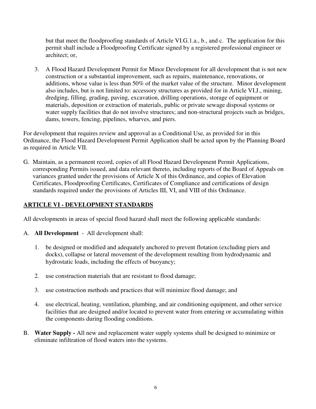but that meet the floodproofing standards of Article VI.G.1.a., b., and c. The application for this permit shall include a Floodproofing Certificate signed by a registered professional engineer or architect; or,

3. A Flood Hazard Development Permit for Minor Development for all development that is not new construction or a substantial improvement, such as repairs, maintenance, renovations, or additions, whose value is less than 50% of the market value of the structure. Minor development also includes, but is not limited to: accessory structures as provided for in Article VI.J., mining, dredging, filling, grading, paving, excavation, drilling operations, storage of equipment or materials, deposition or extraction of materials, public or private sewage disposal systems or water supply facilities that do not involve structures; and non-structural projects such as bridges, dams, towers, fencing, pipelines, wharves, and piers.

For development that requires review and approval as a Conditional Use, as provided for in this Ordinance, the Flood Hazard Development Permit Application shall be acted upon by the Planning Board as required in Article VII.

G. Maintain, as a permanent record, copies of all Flood Hazard Development Permit Applications, corresponding Permits issued, and data relevant thereto, including reports of the Board of Appeals on variances granted under the provisions of Article X of this Ordinance, and copies of Elevation Certificates, Floodproofing Certificates, Certificates of Compliance and certifications of design standards required under the provisions of Articles III, VI, and VIII of this Ordinance.

# **ARTICLE VI - DEVELOPMENT STANDARDS**

All developments in areas of special flood hazard shall meet the following applicable standards:

- A. **All Development**  All development shall:
	- 1. be designed or modified and adequately anchored to prevent flotation (excluding piers and docks), collapse or lateral movement of the development resulting from hydrodynamic and hydrostatic loads, including the effects of buoyancy;
	- 2. use construction materials that are resistant to flood damage;
	- 3. use construction methods and practices that will minimize flood damage; and
	- 4. use electrical, heating, ventilation, plumbing, and air conditioning equipment, and other service facilities that are designed and/or located to prevent water from entering or accumulating within the components during flooding conditions.
- B. **Water Supply** All new and replacement water supply systems shall be designed to minimize or eliminate infiltration of flood waters into the systems.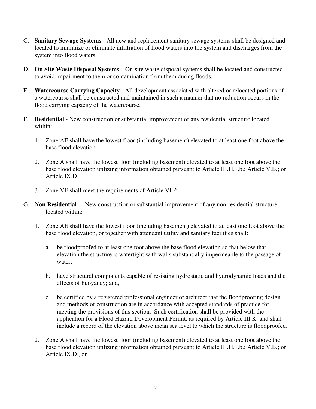- C. **Sanitary Sewage Systems**  All new and replacement sanitary sewage systems shall be designed and located to minimize or eliminate infiltration of flood waters into the system and discharges from the system into flood waters.
- D. **On Site Waste Disposal Systems**  On-site waste disposal systems shall be located and constructed to avoid impairment to them or contamination from them during floods.
- E. **Watercourse Carrying Capacity**  All development associated with altered or relocated portions of a watercourse shall be constructed and maintained in such a manner that no reduction occurs in the flood carrying capacity of the watercourse.
- F. **Residential** New construction or substantial improvement of any residential structure located within:
	- 1. Zone AE shall have the lowest floor (including basement) elevated to at least one foot above the base flood elevation.
	- 2. Zone A shall have the lowest floor (including basement) elevated to at least one foot above the base flood elevation utilizing information obtained pursuant to Article III.H.1.b.; Article V.B.; or Article IX.D.
	- 3. Zone VE shall meet the requirements of Article VI.P.
- G. **Non Residential** New construction or substantial improvement of any non-residential structure located within:
	- 1. Zone AE shall have the lowest floor (including basement) elevated to at least one foot above the base flood elevation, or together with attendant utility and sanitary facilities shall:
		- a. be floodproofed to at least one foot above the base flood elevation so that below that elevation the structure is watertight with walls substantially impermeable to the passage of water;
		- b. have structural components capable of resisting hydrostatic and hydrodynamic loads and the effects of buoyancy; and,
		- c. be certified by a registered professional engineer or architect that the floodproofing design and methods of construction are in accordance with accepted standards of practice for meeting the provisions of this section. Such certification shall be provided with the application for a Flood Hazard Development Permit, as required by Article III.K. and shall include a record of the elevation above mean sea level to which the structure is floodproofed.
	- 2. Zone A shall have the lowest floor (including basement) elevated to at least one foot above the base flood elevation utilizing information obtained pursuant to Article III.H.1.b.; Article V.B.; or Article IX.D., or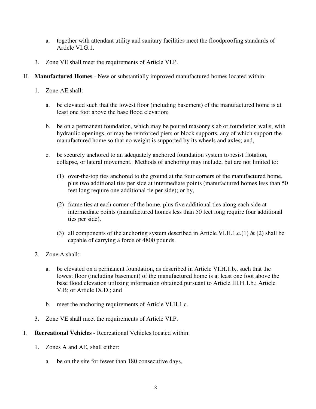- a. together with attendant utility and sanitary facilities meet the floodproofing standards of Article VI.G.1.
- 3. Zone VE shall meet the requirements of Article VI.P.
- H. **Manufactured Homes** New or substantially improved manufactured homes located within:
	- 1. Zone AE shall:
		- a. be elevated such that the lowest floor (including basement) of the manufactured home is at least one foot above the base flood elevation;
		- b. be on a permanent foundation, which may be poured masonry slab or foundation walls, with hydraulic openings, or may be reinforced piers or block supports, any of which support the manufactured home so that no weight is supported by its wheels and axles; and,
		- c. be securely anchored to an adequately anchored foundation system to resist flotation, collapse, or lateral movement. Methods of anchoring may include, but are not limited to:
			- (1) over-the-top ties anchored to the ground at the four corners of the manufactured home, plus two additional ties per side at intermediate points (manufactured homes less than 50 feet long require one additional tie per side); or by,
			- (2) frame ties at each corner of the home, plus five additional ties along each side at intermediate points (manufactured homes less than 50 feet long require four additional ties per side).
			- (3) all components of the anchoring system described in Article VI.H.1.c.(1)  $\&$  (2) shall be capable of carrying a force of 4800 pounds.
	- 2. Zone A shall:
		- a. be elevated on a permanent foundation, as described in Article VI.H.1.b., such that the lowest floor (including basement) of the manufactured home is at least one foot above the base flood elevation utilizing information obtained pursuant to Article III.H.1.b.; Article V.B; or Article IX.D.; and
		- b. meet the anchoring requirements of Article VI.H.1.c.
	- 3. Zone VE shall meet the requirements of Article VI.P.
- I. **Recreational Vehicles**  Recreational Vehicles located within:
	- 1. Zones A and AE, shall either:
		- a. be on the site for fewer than 180 consecutive days,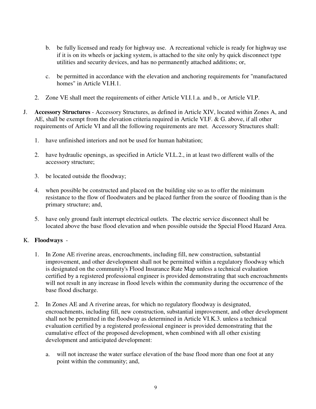- b. be fully licensed and ready for highway use. A recreational vehicle is ready for highway use if it is on its wheels or jacking system, is attached to the site only by quick disconnect type utilities and security devices, and has no permanently attached additions; or,
- c. be permitted in accordance with the elevation and anchoring requirements for "manufactured homes" in Article VI.H.1.
- 2. Zone VE shall meet the requirements of either Article VI.I.1.a. and b., or Article VI.P.
- J. **Accessory Structures** Accessory Structures, as defined in Article XIV, located within Zones A, and AE, shall be exempt from the elevation criteria required in Article VI.F. & G. above, if all other requirements of Article VI and all the following requirements are met. Accessory Structures shall:
	- 1. have unfinished interiors and not be used for human habitation;
	- 2. have hydraulic openings, as specified in Article VI.L.2., in at least two different walls of the accessory structure;
	- 3. be located outside the floodway;
	- 4. when possible be constructed and placed on the building site so as to offer the minimum resistance to the flow of floodwaters and be placed further from the source of flooding than is the primary structure; and,
	- 5. have only ground fault interrupt electrical outlets. The electric service disconnect shall be located above the base flood elevation and when possible outside the Special Flood Hazard Area.

# K. **Floodways** -

- 1. In Zone AE riverine areas, encroachments, including fill, new construction, substantial improvement, and other development shall not be permitted within a regulatory floodway which is designated on the community's Flood Insurance Rate Map unless a technical evaluation certified by a registered professional engineer is provided demonstrating that such encroachments will not result in any increase in flood levels within the community during the occurrence of the base flood discharge.
- 2. In Zones AE and A riverine areas, for which no regulatory floodway is designated, encroachments, including fill, new construction, substantial improvement, and other development shall not be permitted in the floodway as determined in Article VI.K.3. unless a technical evaluation certified by a registered professional engineer is provided demonstrating that the cumulative effect of the proposed development, when combined with all other existing development and anticipated development:
	- a. will not increase the water surface elevation of the base flood more than one foot at any point within the community; and,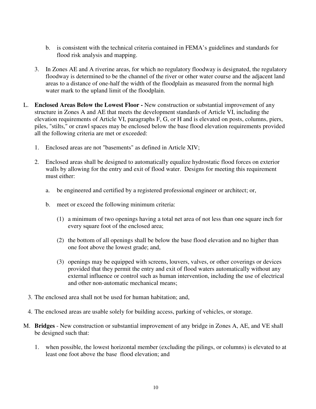- b. is consistent with the technical criteria contained in FEMA's guidelines and standards for flood risk analysis and mapping.
- 3. In Zones AE and A riverine areas, for which no regulatory floodway is designated, the regulatory floodway is determined to be the channel of the river or other water course and the adjacent land areas to a distance of one-half the width of the floodplain as measured from the normal high water mark to the upland limit of the floodplain.
- L. **Enclosed Areas Below the Lowest Floor -** New construction or substantial improvement of any structure in Zones A and AE that meets the development standards of Article VI, including the elevation requirements of Article VI, paragraphs F, G, or H and is elevated on posts, columns, piers, piles, "stilts," or crawl spaces may be enclosed below the base flood elevation requirements provided all the following criteria are met or exceeded:
	- 1. Enclosed areas are not "basements" as defined in Article XIV;
	- 2. Enclosed areas shall be designed to automatically equalize hydrostatic flood forces on exterior walls by allowing for the entry and exit of flood water. Designs for meeting this requirement must either:
		- a. be engineered and certified by a registered professional engineer or architect; or,
		- b. meet or exceed the following minimum criteria:
			- (1) a minimum of two openings having a total net area of not less than one square inch for every square foot of the enclosed area;
			- (2) the bottom of all openings shall be below the base flood elevation and no higher than one foot above the lowest grade; and,
			- (3) openings may be equipped with screens, louvers, valves, or other coverings or devices provided that they permit the entry and exit of flood waters automatically without any external influence or control such as human intervention, including the use of electrical and other non-automatic mechanical means;
	- 3. The enclosed area shall not be used for human habitation; and,
	- 4. The enclosed areas are usable solely for building access, parking of vehicles, or storage.
- M. **Bridges** New construction or substantial improvement of any bridge in Zones A, AE, and VE shall be designed such that:
	- 1. when possible, the lowest horizontal member (excluding the pilings, or columns) is elevated to at least one foot above the base flood elevation; and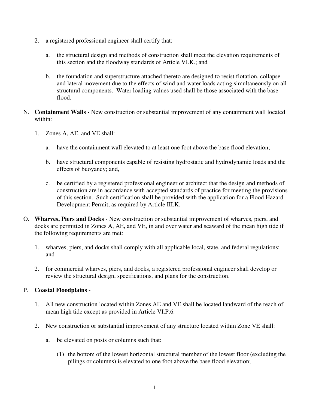- 2. a registered professional engineer shall certify that:
	- a. the structural design and methods of construction shall meet the elevation requirements of this section and the floodway standards of Article VI.K.; and
	- b. the foundation and superstructure attached thereto are designed to resist flotation, collapse and lateral movement due to the effects of wind and water loads acting simultaneously on all structural components. Water loading values used shall be those associated with the base flood.
- N. **Containment Walls** New construction or substantial improvement of any containment wall located within:
	- 1. Zones A, AE, and VE shall:
		- a. have the containment wall elevated to at least one foot above the base flood elevation;
		- b. have structural components capable of resisting hydrostatic and hydrodynamic loads and the effects of buoyancy; and,
		- c. be certified by a registered professional engineer or architect that the design and methods of construction are in accordance with accepted standards of practice for meeting the provisions of this section. Such certification shall be provided with the application for a Flood Hazard Development Permit, as required by Article III.K.
- O. **Wharves, Piers and Docks**  New construction or substantial improvement of wharves, piers, and docks are permitted in Zones A, AE, and VE, in and over water and seaward of the mean high tide if the following requirements are met:
	- 1. wharves, piers, and docks shall comply with all applicable local, state, and federal regulations; and
	- 2. for commercial wharves, piers, and docks, a registered professional engineer shall develop or review the structural design, specifications, and plans for the construction.

#### P. **Coastal Floodplains** -

- 1. All new construction located within Zones AE and VE shall be located landward of the reach of mean high tide except as provided in Article VI.P.6.
- 2. New construction or substantial improvement of any structure located within Zone VE shall:
	- a. be elevated on posts or columns such that:
		- (1) the bottom of the lowest horizontal structural member of the lowest floor (excluding the pilings or columns) is elevated to one foot above the base flood elevation;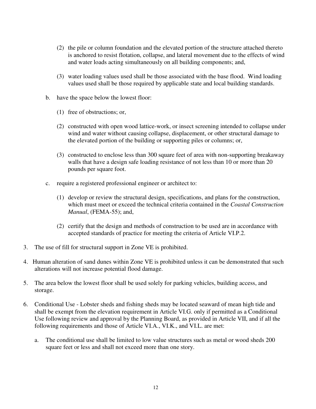- (2) the pile or column foundation and the elevated portion of the structure attached thereto is anchored to resist flotation, collapse, and lateral movement due to the effects of wind and water loads acting simultaneously on all building components; and,
- (3) water loading values used shall be those associated with the base flood. Wind loading values used shall be those required by applicable state and local building standards.
- b. have the space below the lowest floor:
	- (1) free of obstructions; or,
	- (2) constructed with open wood lattice-work, or insect screening intended to collapse under wind and water without causing collapse, displacement, or other structural damage to the elevated portion of the building or supporting piles or columns; or,
	- (3) constructed to enclose less than 300 square feet of area with non-supporting breakaway walls that have a design safe loading resistance of not less than 10 or more than 20 pounds per square foot.
- c. require a registered professional engineer or architect to:
	- (1) develop or review the structural design, specifications, and plans for the construction, which must meet or exceed the technical criteria contained in the *Coastal Construction Manual*, (FEMA-55); and,
	- (2) certify that the design and methods of construction to be used are in accordance with accepted standards of practice for meeting the criteria of Article VI.P.2.
- 3. The use of fill for structural support in Zone VE is prohibited.
- 4. Human alteration of sand dunes within Zone VE is prohibited unless it can be demonstrated that such alterations will not increase potential flood damage.
- 5. The area below the lowest floor shall be used solely for parking vehicles, building access, and storage.
- 6. Conditional Use Lobster sheds and fishing sheds may be located seaward of mean high tide and shall be exempt from the elevation requirement in Article VI.G. only if permitted as a Conditional Use following review and approval by the Planning Board, as provided in Article VII, and if all the following requirements and those of Article VI.A., VI.K., and VI.L. are met:
	- a. The conditional use shall be limited to low value structures such as metal or wood sheds 200 square feet or less and shall not exceed more than one story.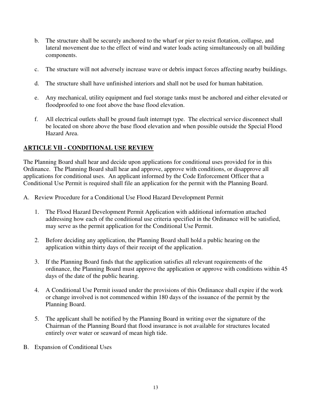- b. The structure shall be securely anchored to the wharf or pier to resist flotation, collapse, and lateral movement due to the effect of wind and water loads acting simultaneously on all building components.
- c. The structure will not adversely increase wave or debris impact forces affecting nearby buildings.
- d. The structure shall have unfinished interiors and shall not be used for human habitation.
- e. Any mechanical, utility equipment and fuel storage tanks must be anchored and either elevated or floodproofed to one foot above the base flood elevation.
- f. All electrical outlets shall be ground fault interrupt type. The electrical service disconnect shall be located on shore above the base flood elevation and when possible outside the Special Flood Hazard Area.

# **ARTICLE VII - CONDITIONAL USE REVIEW**

The Planning Board shall hear and decide upon applications for conditional uses provided for in this Ordinance. The Planning Board shall hear and approve, approve with conditions, or disapprove all applications for conditional uses. An applicant informed by the Code Enforcement Officer that a Conditional Use Permit is required shall file an application for the permit with the Planning Board.

- A. Review Procedure for a Conditional Use Flood Hazard Development Permit
	- 1. The Flood Hazard Development Permit Application with additional information attached addressing how each of the conditional use criteria specified in the Ordinance will be satisfied, may serve as the permit application for the Conditional Use Permit.
	- 2. Before deciding any application, the Planning Board shall hold a public hearing on the application within thirty days of their receipt of the application.
	- 3. If the Planning Board finds that the application satisfies all relevant requirements of the ordinance, the Planning Board must approve the application or approve with conditions within 45 days of the date of the public hearing.
	- 4. A Conditional Use Permit issued under the provisions of this Ordinance shall expire if the work or change involved is not commenced within 180 days of the issuance of the permit by the Planning Board.
	- 5. The applicant shall be notified by the Planning Board in writing over the signature of the Chairman of the Planning Board that flood insurance is not available for structures located entirely over water or seaward of mean high tide.
- B. Expansion of Conditional Uses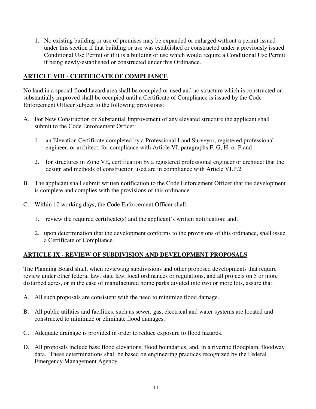1. No existing building or use of premises may be expanded or enlarged without a permit issued under this section if that building or use was established or constructed under a previously issued Conditional Use Permit or if it is a building or use which would require a Conditional Use Permit if being newly-established or constructed under this Ordinance.

# **ARTICLE VIII - CERTIFICATE OF COMPLIANCE**

No land in a special flood hazard area shall be occupied or used and no structure which is constructed or substantially improved shall be occupied until a Certificate of Compliance is issued by the Code Enforcement Officer subject to the following provisions:

- A. For New Construction or Substantial Improvement of any elevated structure the applicant shall submit to the Code Enforcement Officer:
	- 1. an Elevation Certificate completed by a Professional Land Surveyor, registered professional engineer, or architect, for compliance with Article VI, paragraphs F, G, H, or P and,
	- 2. for structures in Zone VE, certification by a registered professional engineer or architect that the design and methods of construction used are in compliance with Article VI.P.2.
- B. The applicant shall submit written notification to the Code Enforcement Officer that the development is complete and complies with the provisions of this ordinance.
- C. Within 10 working days, the Code Enforcement Officer shall:
	- 1. review the required certificate(s) and the applicant's written notification; and,
	- 2. upon determination that the development conforms to the provisions of this ordinance, shall issue a Certificate of Compliance.

#### **ARTICLE IX - REVIEW OF SUBDIVISION AND DEVELOPMENT PROPOSALS**

The Planning Board shall, when reviewing subdivisions and other proposed developments that require review under other federal law, state law, local ordinances or regulations, and all projects on 5 or more disturbed acres, or in the case of manufactured home parks divided into two or more lots, assure that:

- A. All such proposals are consistent with the need to minimize flood damage.
- B. All public utilities and facilities, such as sewer, gas, electrical and water systems are located and constructed to minimize or eliminate flood damages.
- C. Adequate drainage is provided in order to reduce exposure to flood hazards.
- D. All proposals include base flood elevations, flood boundaries, and, in a riverine floodplain, floodway data. These determinations shall be based on engineering practices recognized by the Federal Emergency Management Agency.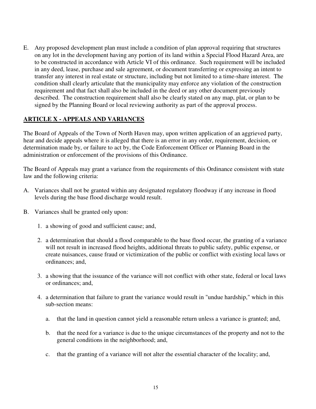E. Any proposed development plan must include a condition of plan approval requiring that structures on any lot in the development having any portion of its land within a Special Flood Hazard Area, are to be constructed in accordance with Article VI of this ordinance. Such requirement will be included in any deed, lease, purchase and sale agreement, or document transferring or expressing an intent to transfer any interest in real estate or structure, including but not limited to a time-share interest. The condition shall clearly articulate that the municipality may enforce any violation of the construction requirement and that fact shall also be included in the deed or any other document previously described. The construction requirement shall also be clearly stated on any map, plat, or plan to be signed by the Planning Board or local reviewing authority as part of the approval process.

#### **ARTICLE X - APPEALS AND VARIANCES**

The Board of Appeals of the Town of North Haven may, upon written application of an aggrieved party, hear and decide appeals where it is alleged that there is an error in any order, requirement, decision, or determination made by, or failure to act by, the Code Enforcement Officer or Planning Board in the administration or enforcement of the provisions of this Ordinance.

The Board of Appeals may grant a variance from the requirements of this Ordinance consistent with state law and the following criteria:

- A. Variances shall not be granted within any designated regulatory floodway if any increase in flood levels during the base flood discharge would result.
- B. Variances shall be granted only upon:
	- 1. a showing of good and sufficient cause; and,
	- 2. a determination that should a flood comparable to the base flood occur, the granting of a variance will not result in increased flood heights, additional threats to public safety, public expense, or create nuisances, cause fraud or victimization of the public or conflict with existing local laws or ordinances; and,
	- 3. a showing that the issuance of the variance will not conflict with other state, federal or local laws or ordinances; and,
	- 4. a determination that failure to grant the variance would result in "undue hardship," which in this sub-section means:
		- a. that the land in question cannot yield a reasonable return unless a variance is granted; and,
		- b. that the need for a variance is due to the unique circumstances of the property and not to the general conditions in the neighborhood; and,
		- c. that the granting of a variance will not alter the essential character of the locality; and,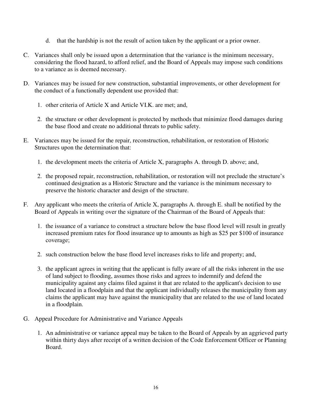- d. that the hardship is not the result of action taken by the applicant or a prior owner.
- C. Variances shall only be issued upon a determination that the variance is the minimum necessary, considering the flood hazard, to afford relief, and the Board of Appeals may impose such conditions to a variance as is deemed necessary.
- D. Variances may be issued for new construction, substantial improvements, or other development for the conduct of a functionally dependent use provided that:
	- 1. other criteria of Article X and Article VI.K. are met; and,
	- 2. the structure or other development is protected by methods that minimize flood damages during the base flood and create no additional threats to public safety.
- E. Variances may be issued for the repair, reconstruction, rehabilitation, or restoration of Historic Structures upon the determination that:
	- 1. the development meets the criteria of Article X, paragraphs A. through D. above; and,
	- 2. the proposed repair, reconstruction, rehabilitation, or restoration will not preclude the structure's continued designation as a Historic Structure and the variance is the minimum necessary to preserve the historic character and design of the structure.
- F. Any applicant who meets the criteria of Article X, paragraphs A. through E. shall be notified by the Board of Appeals in writing over the signature of the Chairman of the Board of Appeals that:
	- 1. the issuance of a variance to construct a structure below the base flood level will result in greatly increased premium rates for flood insurance up to amounts as high as \$25 per \$100 of insurance coverage;
	- 2. such construction below the base flood level increases risks to life and property; and,
	- 3. the applicant agrees in writing that the applicant is fully aware of all the risks inherent in the use of land subject to flooding, assumes those risks and agrees to indemnify and defend the municipality against any claims filed against it that are related to the applicant's decision to use land located in a floodplain and that the applicant individually releases the municipality from any claims the applicant may have against the municipality that are related to the use of land located in a floodplain.
- G. Appeal Procedure for Administrative and Variance Appeals
	- 1. An administrative or variance appeal may be taken to the Board of Appeals by an aggrieved party within thirty days after receipt of a written decision of the Code Enforcement Officer or Planning Board.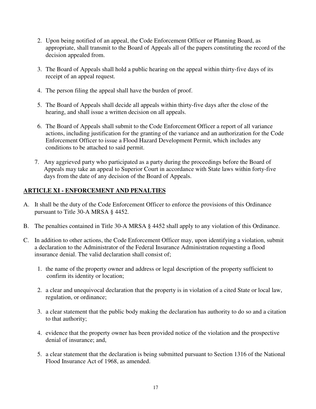- 2. Upon being notified of an appeal, the Code Enforcement Officer or Planning Board, as appropriate, shall transmit to the Board of Appeals all of the papers constituting the record of the decision appealed from.
- 3. The Board of Appeals shall hold a public hearing on the appeal within thirty-five days of its receipt of an appeal request.
- 4. The person filing the appeal shall have the burden of proof.
- 5. The Board of Appeals shall decide all appeals within thirty-five days after the close of the hearing, and shall issue a written decision on all appeals.
- 6. The Board of Appeals shall submit to the Code Enforcement Officer a report of all variance actions, including justification for the granting of the variance and an authorization for the Code Enforcement Officer to issue a Flood Hazard Development Permit, which includes any conditions to be attached to said permit.
- 7. Any aggrieved party who participated as a party during the proceedings before the Board of Appeals may take an appeal to Superior Court in accordance with State laws within forty-five days from the date of any decision of the Board of Appeals.

# **ARTICLE XI - ENFORCEMENT AND PENALTIES**

- A. It shall be the duty of the Code Enforcement Officer to enforce the provisions of this Ordinance pursuant to Title 30-A MRSA § 4452.
- B. The penalties contained in Title 30-A MRSA § 4452 shall apply to any violation of this Ordinance.
- C. In addition to other actions, the Code Enforcement Officer may, upon identifying a violation, submit a declaration to the Administrator of the Federal Insurance Administration requesting a flood insurance denial. The valid declaration shall consist of;
	- 1. the name of the property owner and address or legal description of the property sufficient to confirm its identity or location;
	- 2. a clear and unequivocal declaration that the property is in violation of a cited State or local law, regulation, or ordinance;
	- 3. a clear statement that the public body making the declaration has authority to do so and a citation to that authority;
	- 4. evidence that the property owner has been provided notice of the violation and the prospective denial of insurance; and,
	- 5. a clear statement that the declaration is being submitted pursuant to Section 1316 of the National Flood Insurance Act of 1968, as amended.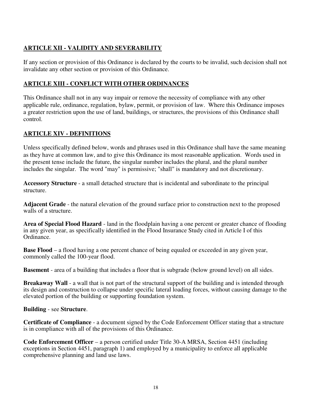# **ARTICLE XII - VALIDITY AND SEVERABILITY**

If any section or provision of this Ordinance is declared by the courts to be invalid, such decision shall not invalidate any other section or provision of this Ordinance.

# **ARTICLE XIII - CONFLICT WITH OTHER ORDINANCES**

This Ordinance shall not in any way impair or remove the necessity of compliance with any other applicable rule, ordinance, regulation, bylaw, permit, or provision of law. Where this Ordinance imposes a greater restriction upon the use of land, buildings, or structures, the provisions of this Ordinance shall control.

# **ARTICLE XIV - DEFINITIONS**

Unless specifically defined below, words and phrases used in this Ordinance shall have the same meaning as they have at common law, and to give this Ordinance its most reasonable application. Words used in the present tense include the future, the singular number includes the plural, and the plural number includes the singular. The word "may" is permissive; "shall" is mandatory and not discretionary.

**Accessory Structure** - a small detached structure that is incidental and subordinate to the principal structure.

**Adjacent Grade** - the natural elevation of the ground surface prior to construction next to the proposed walls of a structure.

**Area of Special Flood Hazard** - land in the floodplain having a one percent or greater chance of flooding in any given year, as specifically identified in the Flood Insurance Study cited in Article I of this Ordinance.

**Base Flood** – a flood having a one percent chance of being equaled or exceeded in any given year, commonly called the 100-year flood.

**Basement** - area of a building that includes a floor that is subgrade (below ground level) on all sides.

**Breakaway Wall** - a wall that is not part of the structural support of the building and is intended through its design and construction to collapse under specific lateral loading forces, without causing damage to the elevated portion of the building or supporting foundation system.

#### **Building** - see **Structure**.

**Certificate of Compliance** - a document signed by the Code Enforcement Officer stating that a structure is in compliance with all of the provisions of this Ordinance.

**Code Enforcement Officer** – a person certified under Title 30-A MRSA, Section 4451 (including exceptions in Section 4451, paragraph 1) and employed by a municipality to enforce all applicable comprehensive planning and land use laws.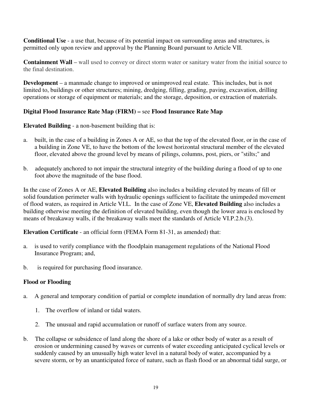**Conditional Use** - a use that, because of its potential impact on surrounding areas and structures, is permitted only upon review and approval by the Planning Board pursuant to Article VII.

**Containment Wall** – wall used to convey or direct storm water or sanitary water from the initial source to the final destination.

**Development** – a manmade change to improved or unimproved real estate. This includes, but is not limited to, buildings or other structures; mining, dredging, filling, grading, paving, excavation, drilling operations or storage of equipment or materials; and the storage, deposition, or extraction of materials.

# **Digital Flood Insurance Rate Map (FIRM) –** see **Flood Insurance Rate Map**

**Elevated Building** - a non-basement building that is:

- a. built, in the case of a building in Zones A or AE, so that the top of the elevated floor, or in the case of a building in Zone VE, to have the bottom of the lowest horizontal structural member of the elevated floor, elevated above the ground level by means of pilings, columns, post, piers, or "stilts;" and
- b. adequately anchored to not impair the structural integrity of the building during a flood of up to one foot above the magnitude of the base flood.

In the case of Zones A or AE, **Elevated Building** also includes a building elevated by means of fill or solid foundation perimeter walls with hydraulic openings sufficient to facilitate the unimpeded movement of flood waters, as required in Article VI.L. In the case of Zone VE, **Elevated Building** also includes a building otherwise meeting the definition of elevated building, even though the lower area is enclosed by means of breakaway walls, if the breakaway walls meet the standards of Article VI.P.2.b.(3).

**Elevation Certificate** - an official form (FEMA Form 81-31, as amended) that:

- a. is used to verify compliance with the floodplain management regulations of the National Flood Insurance Program; and,
- b. is required for purchasing flood insurance.

# **Flood or Flooding**

- a. A general and temporary condition of partial or complete inundation of normally dry land areas from:
	- 1. The overflow of inland or tidal waters.
	- 2. The unusual and rapid accumulation or runoff of surface waters from any source.
- b. The collapse or subsidence of land along the shore of a lake or other body of water as a result of erosion or undermining caused by waves or currents of water exceeding anticipated cyclical levels or suddenly caused by an unusually high water level in a natural body of water, accompanied by a severe storm, or by an unanticipated force of nature, such as flash flood or an abnormal tidal surge, or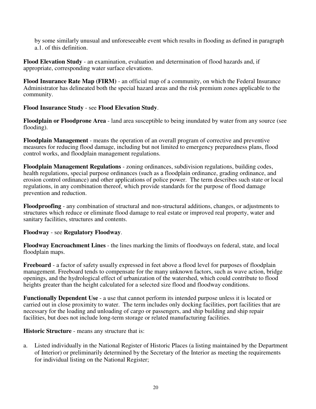by some similarly unusual and unforeseeable event which results in flooding as defined in paragraph a.1. of this definition.

**Flood Elevation Study** - an examination, evaluation and determination of flood hazards and, if appropriate, corresponding water surface elevations.

**Flood Insurance Rate Map (FIRM)** - an official map of a community, on which the Federal Insurance Administrator has delineated both the special hazard areas and the risk premium zones applicable to the community.

#### **Flood Insurance Study** - see **Flood Elevation Study**.

**Floodplain or Floodprone Area** - land area susceptible to being inundated by water from any source (see flooding).

**Floodplain Management** - means the operation of an overall program of corrective and preventive measures for reducing flood damage, including but not limited to emergency preparedness plans, flood control works, and floodplain management regulations.

**Floodplain Management Regulations** - zoning ordinances, subdivision regulations, building codes, health regulations, special purpose ordinances (such as a floodplain ordinance, grading ordinance, and erosion control ordinance) and other applications of police power. The term describes such state or local regulations, in any combination thereof, which provide standards for the purpose of flood damage prevention and reduction.

**Floodproofing** - any combination of structural and non-structural additions, changes, or adjustments to structures which reduce or eliminate flood damage to real estate or improved real property, water and sanitary facilities, structures and contents.

#### **Floodway** - see **Regulatory Floodway**.

**Floodway Encroachment Lines** - the lines marking the limits of floodways on federal, state, and local floodplain maps.

**Freeboard** - a factor of safety usually expressed in feet above a flood level for purposes of floodplain management. Freeboard tends to compensate for the many unknown factors, such as wave action, bridge openings, and the hydrological effect of urbanization of the watershed, which could contribute to flood heights greater than the height calculated for a selected size flood and floodway conditions.

**Functionally Dependent Use** - a use that cannot perform its intended purpose unless it is located or carried out in close proximity to water. The term includes only docking facilities, port facilities that are necessary for the loading and unloading of cargo or passengers, and ship building and ship repair facilities, but does not include long-term storage or related manufacturing facilities.

**Historic Structure** - means any structure that is:

a. Listed individually in the National Register of Historic Places (a listing maintained by the Department of Interior) or preliminarily determined by the Secretary of the Interior as meeting the requirements for individual listing on the National Register;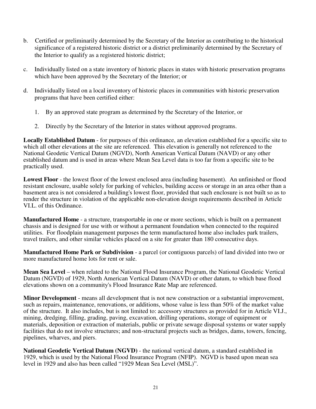- b. Certified or preliminarily determined by the Secretary of the Interior as contributing to the historical significance of a registered historic district or a district preliminarily determined by the Secretary of the Interior to qualify as a registered historic district;
- c. Individually listed on a state inventory of historic places in states with historic preservation programs which have been approved by the Secretary of the Interior; or
- d. Individually listed on a local inventory of historic places in communities with historic preservation programs that have been certified either:
	- 1. By an approved state program as determined by the Secretary of the Interior, or
	- 2. Directly by the Secretary of the Interior in states without approved programs.

**Locally Established Datum** - for purposes of this ordinance, an elevation established for a specific site to which all other elevations at the site are referenced. This elevation is generally not referenced to the National Geodetic Vertical Datum (NGVD), North American Vertical Datum (NAVD) or any other established datum and is used in areas where Mean Sea Level data is too far from a specific site to be practically used.

**Lowest Floor** - the lowest floor of the lowest enclosed area (including basement). An unfinished or flood resistant enclosure, usable solely for parking of vehicles, building access or storage in an area other than a basement area is not considered a building's lowest floor, provided that such enclosure is not built so as to render the structure in violation of the applicable non-elevation design requirements described in Article VI.L. of this Ordinance.

**Manufactured Home** - a structure, transportable in one or more sections, which is built on a permanent chassis and is designed for use with or without a permanent foundation when connected to the required utilities. For floodplain management purposes the term manufactured home also includes park trailers, travel trailers, and other similar vehicles placed on a site for greater than 180 consecutive days.

**Manufactured Home Park or Subdivision** - a parcel (or contiguous parcels) of land divided into two or more manufactured home lots for rent or sale.

**Mean Sea Level** – when related to the National Flood Insurance Program, the National Geodetic Vertical Datum (NGVD) of 1929, North American Vertical Datum (NAVD) or other datum, to which base flood elevations shown on a community's Flood Insurance Rate Map are referenced.

**Minor Development** - means all development that is not new construction or a substantial improvement, such as repairs, maintenance, renovations, or additions, whose value is less than 50% of the market value of the structure. It also includes, but is not limited to: accessory structures as provided for in Article VI.J., mining, dredging, filling, grading, paving, excavation, drilling operations, storage of equipment or materials, deposition or extraction of materials, public or private sewage disposal systems or water supply facilities that do not involve structures; and non-structural projects such as bridges, dams, towers, fencing, pipelines, wharves, and piers.

**National Geodetic Vertical Datum (NGVD)** - the national vertical datum, a standard established in 1929, which is used by the National Flood Insurance Program (NFIP). NGVD is based upon mean sea level in 1929 and also has been called "1929 Mean Sea Level (MSL)".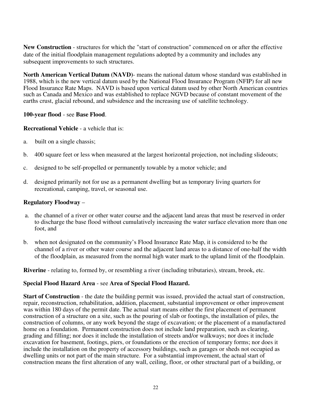**New Construction** - structures for which the "start of construction" commenced on or after the effective date of the initial floodplain management regulations adopted by a community and includes any subsequent improvements to such structures.

**North American Vertical Datum (NAVD)**- means the national datum whose standard was established in 1988, which is the new vertical datum used by the National Flood Insurance Program (NFIP) for all new Flood Insurance Rate Maps. NAVD is based upon vertical datum used by other North American countries such as Canada and Mexico and was established to replace NGVD because of constant movement of the earths crust, glacial rebound, and subsidence and the increasing use of satellite technology.

#### **100-year flood** - see **Base Flood**.

#### **Recreational Vehicle** - a vehicle that is:

- a. built on a single chassis;
- b. 400 square feet or less when measured at the largest horizontal projection, not including slideouts;
- c. designed to be self-propelled or permanently towable by a motor vehicle; and
- d. designed primarily not for use as a permanent dwelling but as temporary living quarters for recreational, camping, travel, or seasonal use.

#### **Regulatory Floodway** –

- a. the channel of a river or other water course and the adjacent land areas that must be reserved in order to discharge the base flood without cumulatively increasing the water surface elevation more than one foot, and
- b. when not designated on the community's Flood Insurance Rate Map, it is considered to be the channel of a river or other water course and the adjacent land areas to a distance of one-half the width of the floodplain, as measured from the normal high water mark to the upland limit of the floodplain.

**Riverine** - relating to, formed by, or resembling a river (including tributaries), stream, brook, etc.

#### **Special Flood Hazard Area** - see **Area of Special Flood Hazard.**

**Start of Construction** - the date the building permit was issued, provided the actual start of construction, repair, reconstruction, rehabilitation, addition, placement, substantial improvement or other improvement was within 180 days of the permit date. The actual start means either the first placement of permanent construction of a structure on a site, such as the pouring of slab or footings, the installation of piles, the construction of columns, or any work beyond the stage of excavation; or the placement of a manufactured home on a foundation. Permanent construction does not include land preparation, such as clearing, grading and filling; nor does it include the installation of streets and/or walkways; nor does it include excavation for basement, footings, piers, or foundations or the erection of temporary forms; nor does it include the installation on the property of accessory buildings, such as garages or sheds not occupied as dwelling units or not part of the main structure. For a substantial improvement, the actual start of construction means the first alteration of any wall, ceiling, floor, or other structural part of a building, or